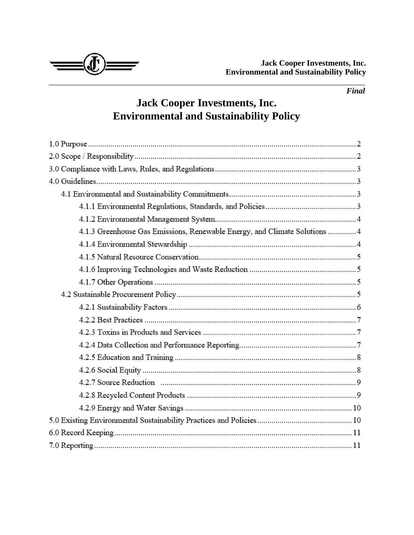*Final*



# **Jack Cooper Investments, Inc. Environmental and Sustainability Policy**

| 4.1.3 Greenhouse Gas Emissions, Renewable Energy, and Climate Solutions  4 |
|----------------------------------------------------------------------------|
|                                                                            |
|                                                                            |
|                                                                            |
|                                                                            |
|                                                                            |
|                                                                            |
|                                                                            |
|                                                                            |
|                                                                            |
|                                                                            |
|                                                                            |
|                                                                            |
|                                                                            |
|                                                                            |
|                                                                            |
|                                                                            |
|                                                                            |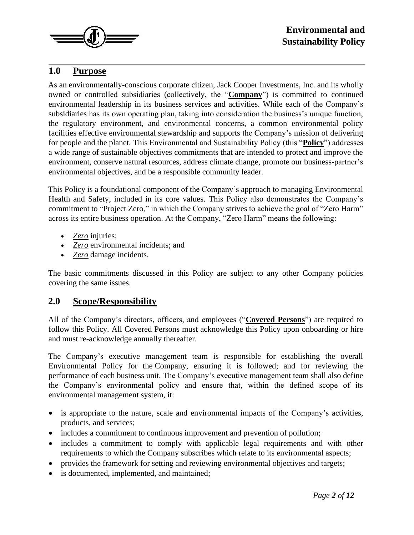

#### **1.0 Purpose**

As an environmentally-conscious corporate citizen, Jack Cooper Investments, Inc. and its wholly owned or controlled subsidiaries (collectively, the "**Company**") is committed to continued environmental leadership in its business services and activities. While each of the Company's subsidiaries has its own operating plan, taking into consideration the business's unique function, the regulatory environment, and environmental concerns, a common environmental policy facilities effective environmental stewardship and supports the Company's mission of delivering for people and the planet. This Environmental and Sustainability Policy (this "**Policy**") addresses a wide range of sustainable objectives commitments that are intended to protect and improve the environment, conserve natural resources, address climate change, promote our business-partner's environmental objectives, and be a responsible community leader.

This Policy is a foundational component of the Company's approach to managing Environmental Health and Safety, included in its core values. This Policy also demonstrates the Company's commitment to "Project Zero," in which the Company strives to achieve the goal of "Zero Harm" across its entire business operation. At the Company, "Zero Harm" means the following:

- *Zero* injuries;
- *Zero* environmental incidents; and
- *Zero* damage incidents.

The basic commitments discussed in this Policy are subject to any other Company policies covering the same issues.

#### **2.0 Scope/Responsibility**

All of the Company's directors, officers, and employees ("**Covered Persons**") are required to follow this Policy. All Covered Persons must acknowledge this Policy upon onboarding or hire and must re-acknowledge annually thereafter.

The Company's executive management team is responsible for establishing the overall Environmental Policy for the Company, ensuring it is followed; and for reviewing the performance of each business unit. The Company's executive management team shall also define the Company's environmental policy and ensure that, within the defined scope of its environmental management system, it:

- is appropriate to the nature, scale and environmental impacts of the Company's activities, products, and services;
- includes a commitment to continuous improvement and prevention of pollution;
- includes a commitment to comply with applicable legal requirements and with other requirements to which the Company subscribes which relate to its environmental aspects;
- provides the framework for setting and reviewing environmental objectives and targets;
- is documented, implemented, and maintained;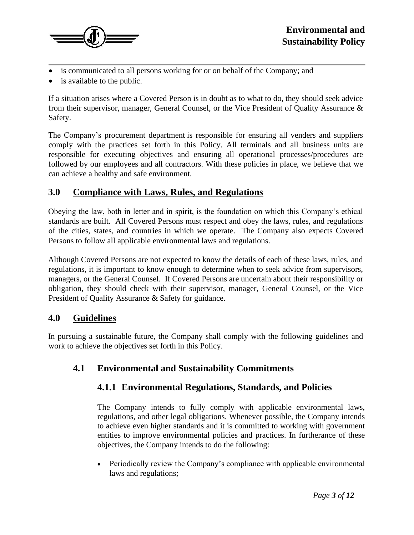

- is communicated to all persons working for or on behalf of the Company; and
- is available to the public.

If a situation arises where a Covered Person is in doubt as to what to do, they should seek advice from their supervisor, manager, General Counsel, or the Vice President of Quality Assurance & Safety.

The Company's procurement department is responsible for ensuring all venders and suppliers comply with the practices set forth in this Policy. All terminals and all business units are responsible for executing objectives and ensuring all operational processes/procedures are followed by our employees and all contractors. With these policies in place, we believe that we can achieve a healthy and safe environment.

## **3.0 Compliance with Laws, Rules, and Regulations**

Obeying the law, both in letter and in spirit, is the foundation on which this Company's ethical standards are built. All Covered Persons must respect and obey the laws, rules, and regulations of the cities, states, and countries in which we operate. The Company also expects Covered Persons to follow all applicable environmental laws and regulations.

Although Covered Persons are not expected to know the details of each of these laws, rules, and regulations, it is important to know enough to determine when to seek advice from supervisors, managers, or the General Counsel. If Covered Persons are uncertain about their responsibility or obligation, they should check with their supervisor, manager, General Counsel, or the Vice President of Quality Assurance & Safety for guidance.

#### **4.0 Guidelines**

In pursuing a sustainable future, the Company shall comply with the following guidelines and work to achieve the objectives set forth in this Policy.

#### **4.1 Environmental and Sustainability Commitments**

#### **4.1.1 Environmental Regulations, Standards, and Policies**

The Company intends to fully comply with applicable environmental laws, regulations, and other legal obligations. Whenever possible, the Company intends to achieve even higher standards and it is committed to working with government entities to improve environmental policies and practices. In furtherance of these objectives, the Company intends to do the following:

• Periodically review the Company's compliance with applicable environmental laws and regulations;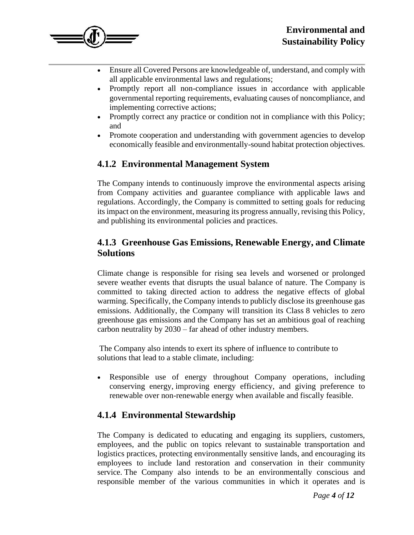

- Ensure all Covered Persons are knowledgeable of, understand, and comply with all applicable environmental laws and regulations;
- Promptly report all non-compliance issues in accordance with applicable governmental reporting requirements, evaluating causes of noncompliance, and implementing corrective actions;
- Promptly correct any practice or condition not in compliance with this Policy; and
- Promote cooperation and understanding with government agencies to develop economically feasible and environmentally-sound habitat protection objectives.

## **4.1.2 Environmental Management System**

The Company intends to continuously improve the environmental aspects arising from Company activities and guarantee compliance with applicable laws and regulations. Accordingly, the Company is committed to setting goals for reducing its impact on the environment, measuring its progress annually, revising this Policy, and publishing its environmental policies and practices.

#### **4.1.3 Greenhouse Gas Emissions, Renewable Energy, and Climate Solutions**

Climate change is responsible for rising sea levels and worsened or prolonged severe weather events that disrupts the usual balance of nature. The Company is committed to taking directed action to address the negative effects of global warming. Specifically, the Company intends to publicly disclose its greenhouse gas emissions. Additionally, the Company will transition its Class 8 vehicles to zero greenhouse gas emissions and the Company has set an ambitious goal of reaching carbon neutrality by 2030 – far ahead of other industry members.

The Company also intends to exert its sphere of influence to contribute to solutions that lead to a stable climate, including:

• Responsible use of energy throughout Company operations, including conserving energy, improving energy efficiency, and giving preference to renewable over non-renewable energy when available and fiscally feasible.

#### **4.1.4 Environmental Stewardship**

The Company is dedicated to educating and engaging its suppliers, customers, employees, and the public on topics relevant to sustainable transportation and logistics practices, protecting environmentally sensitive lands, and encouraging its employees to include land restoration and conservation in their community service. The Company also intends to be an environmentally conscious and responsible member of the various communities in which it operates and is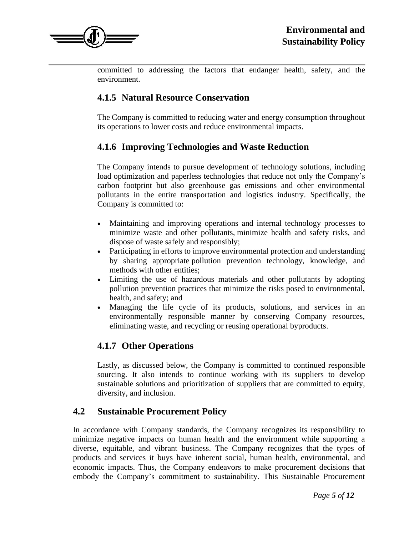

committed to addressing the factors that endanger health, safety, and the environment.

## **4.1.5 Natural Resource Conservation**

The Company is committed to reducing water and energy consumption throughout its operations to lower costs and reduce environmental impacts.

#### **4.1.6 Improving Technologies and Waste Reduction**

The Company intends to pursue development of technology solutions, including load optimization and paperless technologies that reduce not only the Company's carbon footprint but also greenhouse gas emissions and other environmental pollutants in the entire transportation and logistics industry. Specifically, the Company is committed to:

- Maintaining and improving operations and internal technology processes to minimize waste and other pollutants, minimize health and safety risks, and dispose of waste safely and responsibly;
- Participating in efforts to improve environmental protection and understanding by sharing appropriate pollution prevention technology, knowledge, and methods with other entities;
- Limiting the use of hazardous materials and other pollutants by adopting pollution prevention practices that minimize the risks posed to environmental, health, and safety; and
- Managing the life cycle of its products, solutions, and services in an environmentally responsible manner by conserving Company resources, eliminating waste, and recycling or reusing operational byproducts.

#### **4.1.7 Other Operations**

Lastly, as discussed below, the Company is committed to continued responsible sourcing. It also intends to continue working with its suppliers to develop sustainable solutions and prioritization of suppliers that are committed to equity, diversity, and inclusion.

#### **4.2 Sustainable Procurement Policy**

In accordance with Company standards, the Company recognizes its responsibility to minimize negative impacts on human health and the environment while supporting a diverse, equitable, and vibrant business. The Company recognizes that the types of products and services it buys have inherent social, human health, environmental, and economic impacts. Thus, the Company endeavors to make procurement decisions that embody the Company's commitment to sustainability. This Sustainable Procurement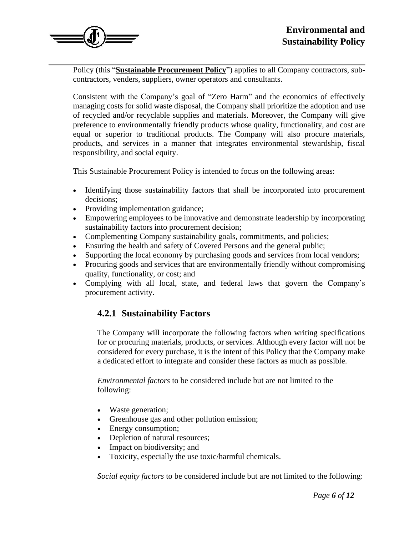

Policy (this "**Sustainable Procurement Policy**") applies to all Company contractors, subcontractors, venders, suppliers, owner operators and consultants.

Consistent with the Company's goal of "Zero Harm" and the economics of effectively managing costs for solid waste disposal, the Company shall prioritize the adoption and use of recycled and/or recyclable supplies and materials. Moreover, the Company will give preference to environmentally friendly products whose quality, functionality, and cost are equal or superior to traditional products. The Company will also procure materials, products, and services in a manner that integrates environmental stewardship, fiscal responsibility, and social equity.

This Sustainable Procurement Policy is intended to focus on the following areas:

- Identifying those sustainability factors that shall be incorporated into procurement decisions;
- Providing implementation guidance;
- Empowering employees to be innovative and demonstrate leadership by incorporating sustainability factors into procurement decision;
- Complementing Company sustainability goals, commitments, and policies;
- Ensuring the health and safety of Covered Persons and the general public;
- Supporting the local economy by purchasing goods and services from local vendors;
- Procuring goods and services that are environmentally friendly without compromising quality, functionality, or cost; and
- Complying with all local, state, and federal laws that govern the Company's procurement activity.

#### **4.2.1 Sustainability Factors**

The Company will incorporate the following factors when writing specifications for or procuring materials, products, or services. Although every factor will not be considered for every purchase, it is the intent of this Policy that the Company make a dedicated effort to integrate and consider these factors as much as possible.

*Environmental factors* to be considered include but are not limited to the following:

- Waste generation;
- Greenhouse gas and other pollution emission;
- Energy consumption;
- Depletion of natural resources;
- Impact on biodiversity; and
- Toxicity, especially the use toxic/harmful chemicals.

*Social equity factors* to be considered include but are not limited to the following: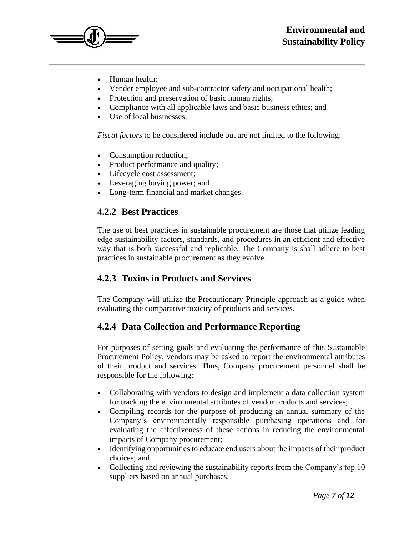

- Human health:
- Vender employee and sub-contractor safety and occupational health;
- Protection and preservation of basic human rights;
- Compliance with all applicable laws and basic business ethics; and
- Use of local businesses.

*Fiscal factors* to be considered include but are not limited to the following:

- Consumption reduction;
- Product performance and quality;
- Lifecycle cost assessment;
- Leveraging buying power; and
- Long-term financial and market changes.

## **4.2.2 Best Practices**

The use of best practices in sustainable procurement are those that utilize leading edge sustainability factors, standards, and procedures in an efficient and effective way that is both successful and replicable. The Company is shall adhere to best practices in sustainable procurement as they evolve.

# **4.2.3 Toxins in Products and Services**

The Company will utilize the Precautionary Principle approach as a guide when evaluating the comparative toxicity of products and services.

# **4.2.4 Data Collection and Performance Reporting**

For purposes of setting goals and evaluating the performance of this Sustainable Procurement Policy, vendors may be asked to report the environmental attributes of their product and services. Thus, Company procurement personnel shall be responsible for the following:

- Collaborating with vendors to design and implement a data collection system for tracking the environmental attributes of vendor products and services;
- Compiling records for the purpose of producing an annual summary of the Company's environmentally responsible purchasing operations and for evaluating the effectiveness of these actions in reducing the environmental impacts of Company procurement;
- Identifying opportunities to educate end users about the impacts of their product choices; and
- Collecting and reviewing the sustainability reports from the Company's top 10 suppliers based on annual purchases.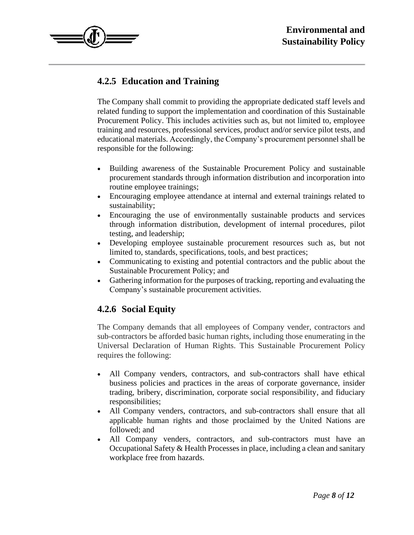

# **4.2.5 Education and Training**

The Company shall commit to providing the appropriate dedicated staff levels and related funding to support the implementation and coordination of this Sustainable Procurement Policy. This includes activities such as, but not limited to, employee training and resources, professional services, product and/or service pilot tests, and educational materials. Accordingly, the Company's procurement personnel shall be responsible for the following:

- Building awareness of the Sustainable Procurement Policy and sustainable procurement standards through information distribution and incorporation into routine employee trainings;
- Encouraging employee attendance at internal and external trainings related to sustainability;
- Encouraging the use of environmentally sustainable products and services through information distribution, development of internal procedures, pilot testing, and leadership;
- Developing employee sustainable procurement resources such as, but not limited to, standards, specifications, tools, and best practices;
- Communicating to existing and potential contractors and the public about the Sustainable Procurement Policy; and
- Gathering information for the purposes of tracking, reporting and evaluating the Company's sustainable procurement activities.

#### **4.2.6 Social Equity**

The Company demands that all employees of Company vender, contractors and sub-contractors be afforded basic human rights, including those enumerating in the Universal Declaration of Human Rights. This Sustainable Procurement Policy requires the following:

- All Company venders, contractors, and sub-contractors shall have ethical business policies and practices in the areas of corporate governance, insider trading, bribery, discrimination, corporate social responsibility, and fiduciary responsibilities;
- All Company venders, contractors, and sub-contractors shall ensure that all applicable human rights and those proclaimed by the United Nations are followed; and
- All Company venders, contractors, and sub-contractors must have an Occupational Safety & Health Processes in place, including a clean and sanitary workplace free from hazards.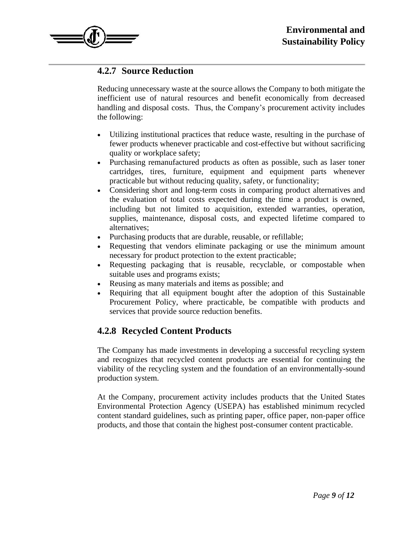

#### **4.2.7 Source Reduction**

Reducing unnecessary waste at the source allows the Company to both mitigate the inefficient use of natural resources and benefit economically from decreased handling and disposal costs. Thus, the Company's procurement activity includes the following:

- Utilizing institutional practices that reduce waste, resulting in the purchase of fewer products whenever practicable and cost-effective but without sacrificing quality or workplace safety;
- Purchasing remanufactured products as often as possible, such as laser toner cartridges, tires, furniture, equipment and equipment parts whenever practicable but without reducing quality, safety, or functionality;
- Considering short and long-term costs in comparing product alternatives and the evaluation of total costs expected during the time a product is owned, including but not limited to acquisition, extended warranties, operation, supplies, maintenance, disposal costs, and expected lifetime compared to alternatives;
- Purchasing products that are durable, reusable, or refillable;
- Requesting that vendors eliminate packaging or use the minimum amount necessary for product protection to the extent practicable;
- Requesting packaging that is reusable, recyclable, or compostable when suitable uses and programs exists;
- Reusing as many materials and items as possible; and
- Requiring that all equipment bought after the adoption of this Sustainable Procurement Policy, where practicable, be compatible with products and services that provide source reduction benefits.

#### **4.2.8 Recycled Content Products**

The Company has made investments in developing a successful recycling system and recognizes that recycled content products are essential for continuing the viability of the recycling system and the foundation of an environmentally-sound production system.

At the Company, procurement activity includes products that the United States Environmental Protection Agency (USEPA) has established minimum recycled content standard guidelines, such as printing paper, office paper, non-paper office products, and those that contain the highest post-consumer content practicable.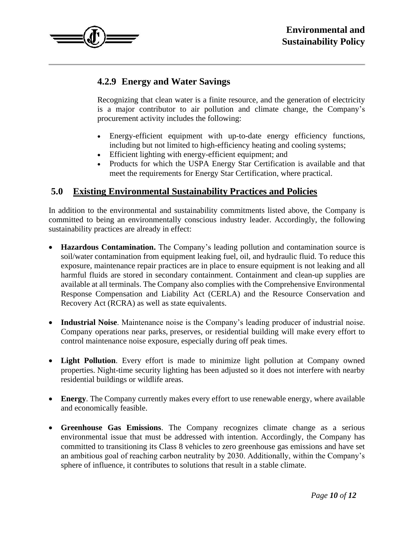

# **4.2.9 Energy and Water Savings**

Recognizing that clean water is a finite resource, and the generation of electricity is a major contributor to air pollution and climate change, the Company's procurement activity includes the following:

- Energy-efficient equipment with up-to-date energy efficiency functions, including but not limited to high-efficiency heating and cooling systems;
- Efficient lighting with energy-efficient equipment; and
- Products for which the USPA Energy Star Certification is available and that meet the requirements for Energy Star Certification, where practical.

#### **5.0 Existing Environmental Sustainability Practices and Policies**

In addition to the environmental and sustainability commitments listed above, the Company is committed to being an environmentally conscious industry leader. Accordingly, the following sustainability practices are already in effect:

- **Hazardous Contamination.** The Company's leading pollution and contamination source is soil/water contamination from equipment leaking fuel, oil, and hydraulic fluid. To reduce this exposure, maintenance repair practices are in place to ensure equipment is not leaking and all harmful fluids are stored in secondary containment. Containment and clean-up supplies are available at all terminals. The Company also complies with the Comprehensive Environmental Response Compensation and Liability Act (CERLA) and the Resource Conservation and Recovery Act (RCRA) as well as state equivalents.
- **Industrial Noise**. Maintenance noise is the Company's leading producer of industrial noise. Company operations near parks, preserves, or residential building will make every effort to control maintenance noise exposure, especially during off peak times.
- **Light Pollution**. Every effort is made to minimize light pollution at Company owned properties. Night-time security lighting has been adjusted so it does not interfere with nearby residential buildings or wildlife areas.
- **Energy**. The Company currently makes every effort to use renewable energy, where available and economically feasible.
- **Greenhouse Gas Emissions**. The Company recognizes climate change as a serious environmental issue that must be addressed with intention. Accordingly, the Company has committed to transitioning its Class 8 vehicles to zero greenhouse gas emissions and have set an ambitious goal of reaching carbon neutrality by 2030. Additionally, within the Company's sphere of influence, it contributes to solutions that result in a stable climate.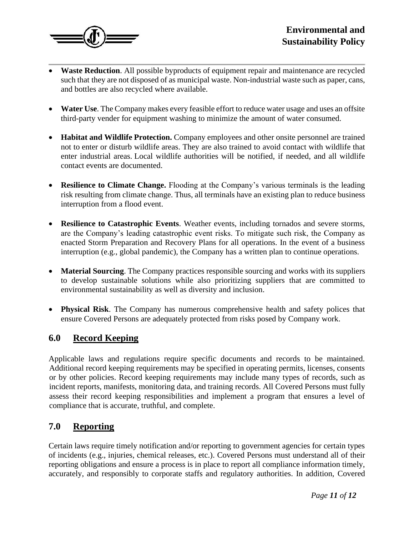

- **Waste Reduction**. All possible byproducts of equipment repair and maintenance are recycled such that they are not disposed of as municipal waste. Non-industrial waste such as paper, cans, and bottles are also recycled where available.
- **Water Use**. The Company makes every feasible effort to reduce water usage and uses an offsite third-party vender for equipment washing to minimize the amount of water consumed.
- **Habitat and Wildlife Protection.** Company employees and other onsite personnel are trained not to enter or disturb wildlife areas. They are also trained to avoid contact with wildlife that enter industrial areas. Local wildlife authorities will be notified, if needed, and all wildlife contact events are documented.
- **Resilience to Climate Change.** Flooding at the Company's various terminals is the leading risk resulting from climate change. Thus, all terminals have an existing plan to reduce business interruption from a flood event.
- **Resilience to Catastrophic Events**. Weather events, including tornados and severe storms, are the Company's leading catastrophic event risks. To mitigate such risk, the Company as enacted Storm Preparation and Recovery Plans for all operations. In the event of a business interruption (e.g., global pandemic), the Company has a written plan to continue operations.
- **Material Sourcing**. The Company practices responsible sourcing and works with its suppliers to develop sustainable solutions while also prioritizing suppliers that are committed to environmental sustainability as well as diversity and inclusion.
- **Physical Risk**. The Company has numerous comprehensive health and safety polices that ensure Covered Persons are adequately protected from risks posed by Company work.

# **6.0 Record Keeping**

Applicable laws and regulations require specific documents and records to be maintained. Additional record keeping requirements may be specified in operating permits, licenses, consents or by other policies. Record keeping requirements may include many types of records, such as incident reports, manifests, monitoring data, and training records. All Covered Persons must fully assess their record keeping responsibilities and implement a program that ensures a level of compliance that is accurate, truthful, and complete.

#### **7.0 Reporting**

Certain laws require timely notification and/or reporting to government agencies for certain types of incidents (e.g., injuries, chemical releases, etc.). Covered Persons must understand all of their reporting obligations and ensure a process is in place to report all compliance information timely, accurately, and responsibly to corporate staffs and regulatory authorities. In addition, Covered